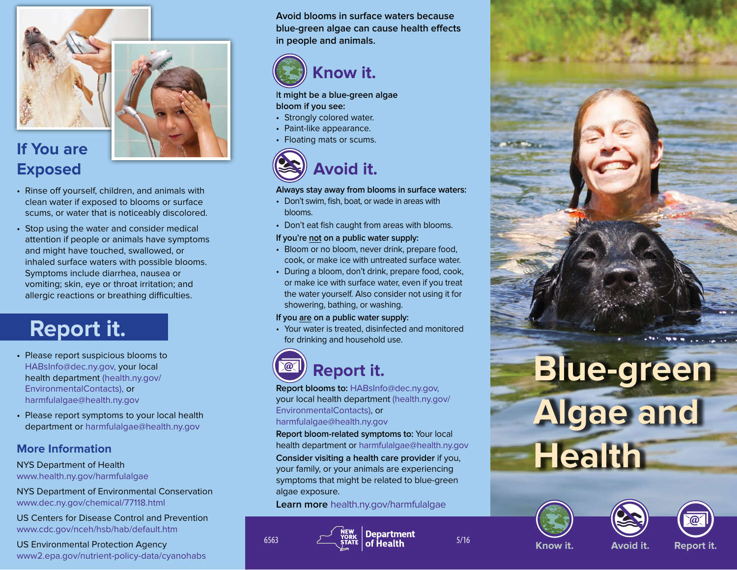

# **If You are Exposed**

- Rinse off yourself, children, and animals with clean water if exposed to blooms or surface scums, or water that is noticeably discolored.
- Stop using the water and consider medical attention if people or animals have symptoms and might have touched, swallowed, or inhaled surface waters with possible blooms. Symptoms include diarrhea, nausea or vomiting; skin, eye or throat irritation; and allergic reactions or breathing difficulties.

# **Report it.**

- Please report suspicious blooms to HABsInfo@dec.ny.gov, your local health department (health.ny.gov/ EnvironmentalContacts), or harmfulalgae@health.ny.gov
- Please report symptoms to your local health department or harmfulalgae@health.ny.gov

# **More Information**

#### NYS Department of Health www.health.ny.gov/harmfulalgae

NYS Department of Environmental Conservation www.dec.ny.gov/chemical/77118.html

US Centers for Disease Control and Prevention www.cdc.gov/nceh/hsb/hab/default.htm

US Environmental Protection Agency www2.epa.gov/nutrient-policy-data/cyanohabs **Avoid blooms in surface waters because blue-green algae can cause health effects in people and animals.**



#### I**t might be a blue-green algae bloom if you see:**

- Strongly colored water.
- Paint-like appearance.
- Floating mats or scums.



### **Always stay away from blooms in surface waters:**

- Don't swim, fish, boat, or wade in areas with blooms.
- Don't eat fish caught from areas with blooms.

### **If you're not on a public water supply:**

- Bloom or no bloom, never drink, prepare food, cook, or make ice with untreated surface water.
- During a bloom, don't drink, prepare food, cook, or make ice with surface water, even if you treat the water yourself. Also consider not using it for showering, bathing, or washing.

### **If you are on a public water supply:**

• Your water is treated, disinfected and monitored for drinking and household use.

# **Report it.**

**Report blooms to:** HABsInfo@dec.ny.gov, your local health department (health.ny.gov/ EnvironmentalContacts), or harmfulalgae@health.ny.gov

**Report bloom-related symptoms to:** Your local health department or harmfulalgae@health.ny.gov **Consider visiting a health care provider** if you, your family, or your animals are experiencing symptoms that might be related to blue-green algae exposure.

**Learn more** health.ny.gov/harmfulalgae











**Know it. Avoid it.**

**Report it.**